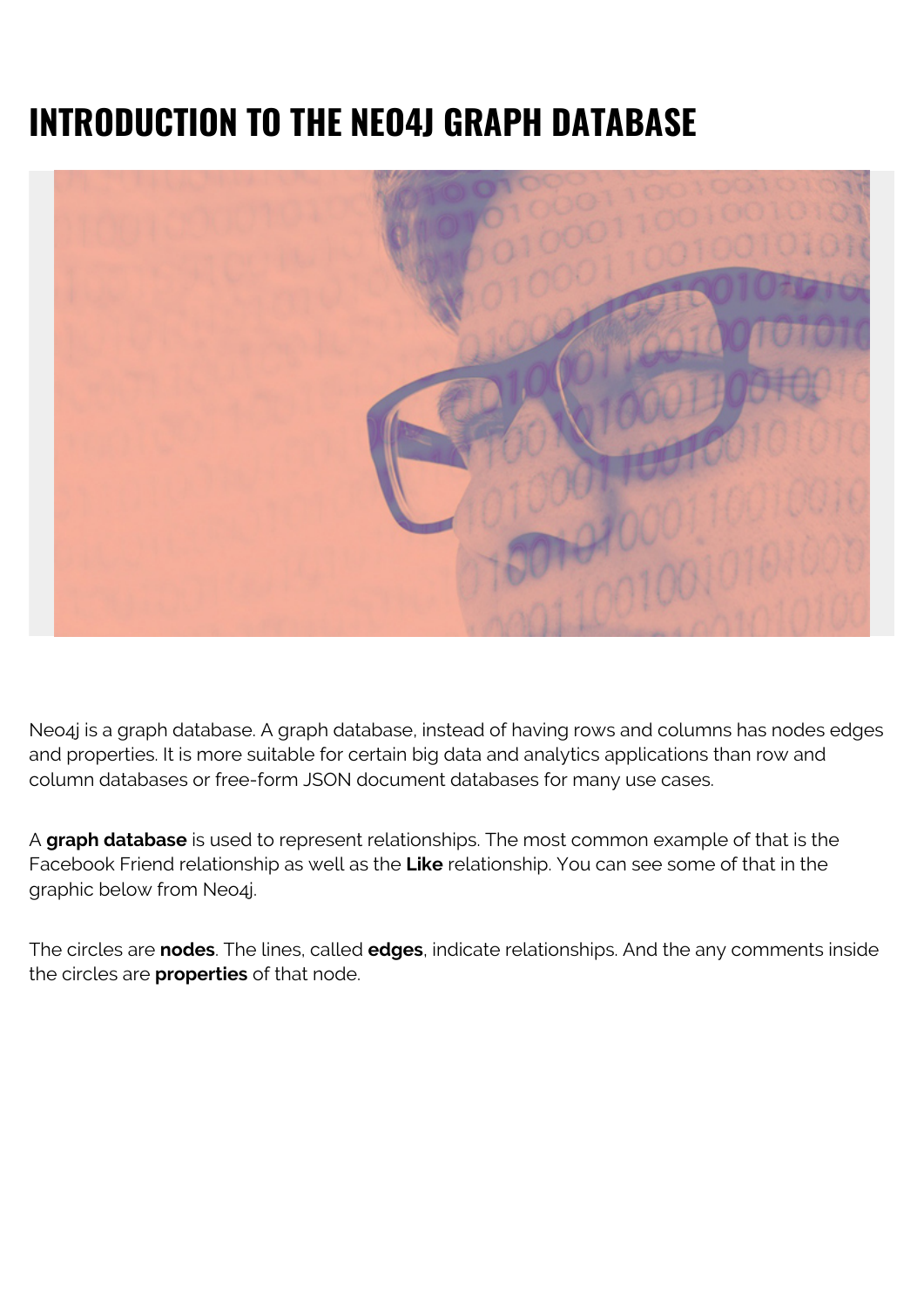# **INTRODUCTION TO THE NEO4J GRAPH DATABASE**



Neo4j is a graph database. A graph database, instead of having rows and columns has nodes edges and properties. It is more suitable for certain big data and analytics applications than row and column databases or free-form JSON document databases for many use cases.

A **graph database** is used to represent relationships. The most common example of that is the Facebook Friend relationship as well as the **Like** relationship. You can see some of that in the graphic below from Neo4j.

The circles are **nodes**. The lines, called **edges**, indicate relationships. And the any comments inside the circles are **properties** of that node.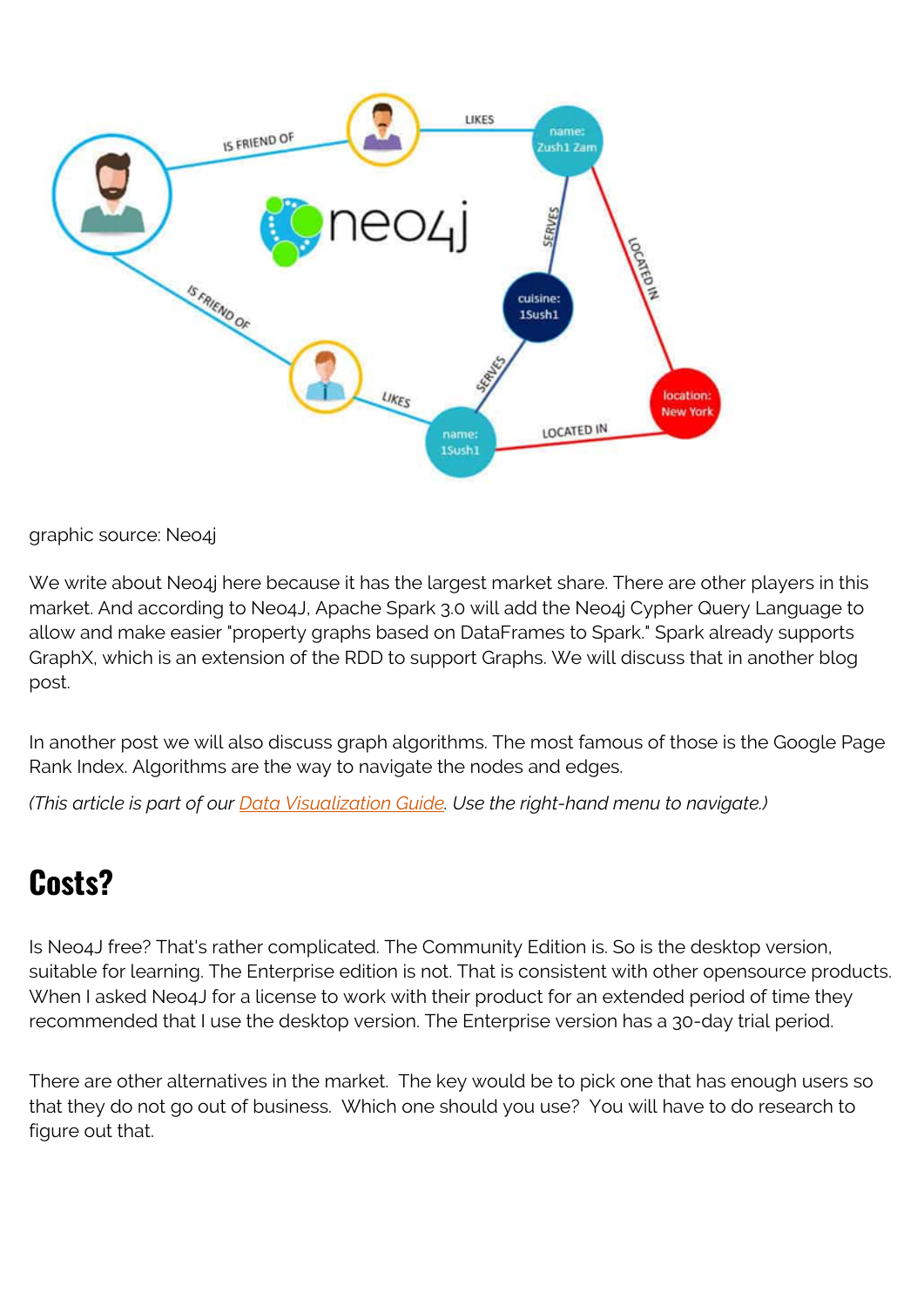

graphic source: Neo4j

We write about Neo4j here because it has the largest market share. There are other players in this market. And according to Neo4J, Apache Spark 3.0 will add the Neo4j Cypher Query Language to allow and make easier "property graphs based on DataFrames to Spark." Spark already supports GraphX, which is an extension of the RDD to support Graphs. We will discuss that in another blog post.

In another post we will also discuss graph algorithms. The most famous of those is the Google Page Rank Index. Algorithms are the way to navigate the nodes and edges.

*(This article is part of our [Data Visualization Guide](https://blogs.bmc.com/blogs/data-visualization/). Use the right-hand menu to navigate.)*

# **Costs?**

Is Neo4J free? That's rather complicated. The Community Edition is. So is the desktop version, suitable for learning. The Enterprise edition is not. That is consistent with other opensource products. When I asked Neo4J for a license to work with their product for an extended period of time they recommended that I use the desktop version. The Enterprise version has a 30-day trial period.

There are other alternatives in the market. The key would be to pick one that has enough users so that they do not go out of business. Which one should you use? You will have to do research to figure out that.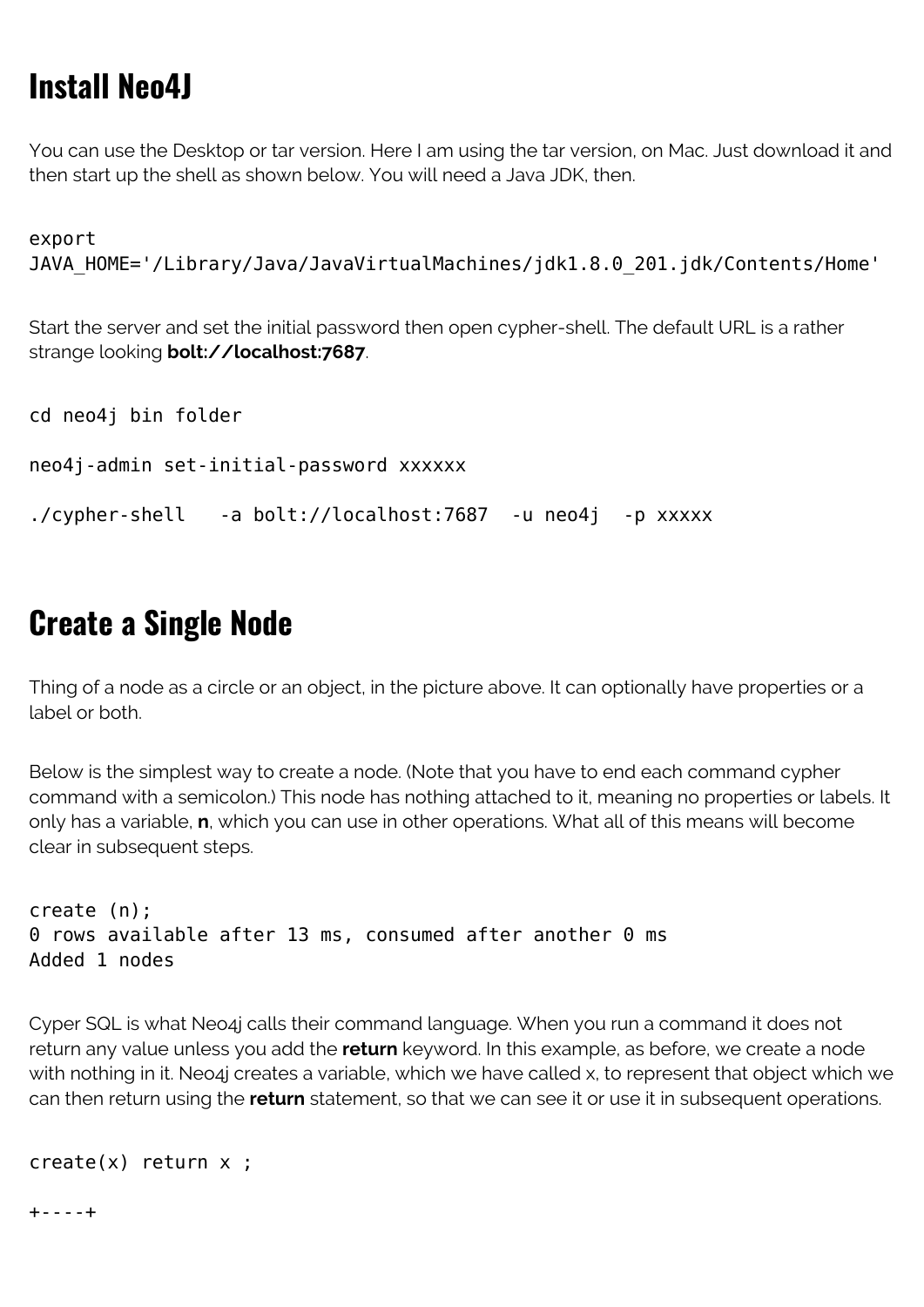# **Install Neo4J**

You can use the Desktop or tar version. Here I am using the tar version, on Mac. Just download it and then start up the shell as shown below. You will need a Java JDK, then.

export JAVA HOME='/Library/Java/JavaVirtualMachines/jdk1.8.0 201.jdk/Contents/Home'

Start the server and set the initial password then open cypher-shell. The default URL is a rather strange looking **bolt://localhost:7687**.

```
cd neo4j bin folder
neo4j-admin set-initial-password xxxxxx
./cypher-shell -a bolt://localhost:7687 -u neo4j -p xxxxx
```
## **Create a Single Node**

Thing of a node as a circle or an object, in the picture above. It can optionally have properties or a label or both.

Below is the simplest way to create a node. (Note that you have to end each command cypher command with a semicolon.) This node has nothing attached to it, meaning no properties or labels. It only has a variable, **n**, which you can use in other operations. What all of this means will become clear in subsequent steps.

```
create (n);
0 rows available after 13 ms, consumed after another 0 ms
Added 1 nodes
```
Cyper SQL is what Neo4j calls their command language. When you run a command it does not return any value unless you add the **return** keyword. In this example, as before, we create a node with nothing in it. Neo4j creates a variable, which we have called x, to represent that object which we can then return using the **return** statement, so that we can see it or use it in subsequent operations.

```
create(x) return x ;
```
+----+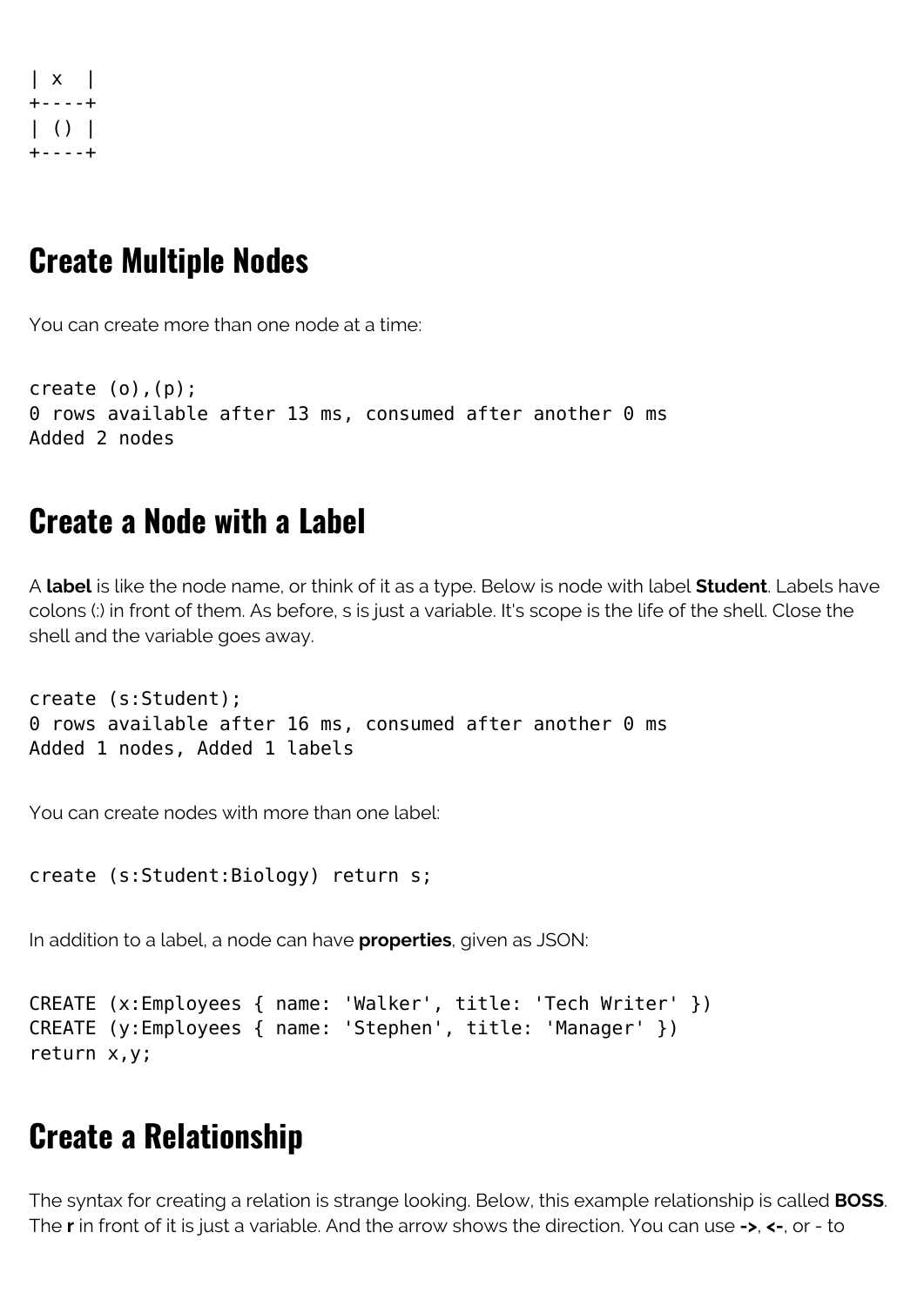| x | +----+  $| ( ) |$ +----+

#### **Create Multiple Nodes**

You can create more than one node at a time:

```
create (o),(p);
0 rows available after 13 ms, consumed after another 0 ms
Added 2 nodes
```
### **Create a Node with a Label**

A **label** is like the node name, or think of it as a type. Below is node with label **Student**. Labels have colons (:) in front of them. As before, s is just a variable. It's scope is the life of the shell. Close the shell and the variable goes away.

```
create (s:Student);
0 rows available after 16 ms, consumed after another 0 ms
Added 1 nodes, Added 1 labels
```
You can create nodes with more than one label:

```
create (s:Student:Biology) return s;
```
In addition to a label, a node can have **properties**, given as JSON:

```
CREATE (x:Employees { name: 'Walker', title: 'Tech Writer' })
CREATE (y:Employees { name: 'Stephen', title: 'Manager' })
return x,y;
```
## **Create a Relationship**

The syntax for creating a relation is strange looking. Below, this example relationship is called **BOSS**. The **r** in front of it is just a variable. And the arrow shows the direction. You can use **->**, **<-**, or - to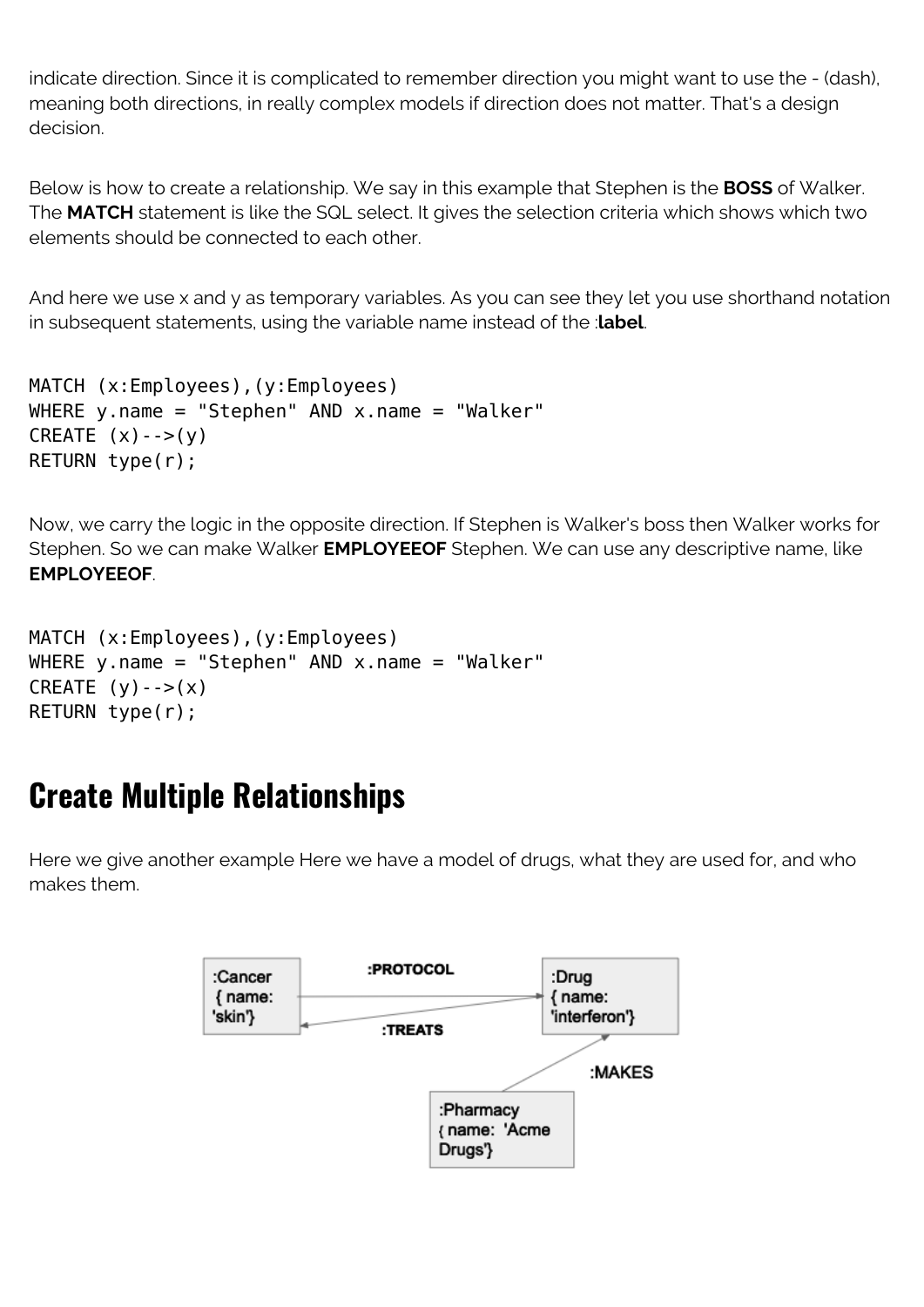indicate direction. Since it is complicated to remember direction you might want to use the - (dash), meaning both directions, in really complex models if direction does not matter. That's a design decision.

Below is how to create a relationship. We say in this example that Stephen is the **BOSS** of Walker. The **MATCH** statement is like the SQL select. It gives the selection criteria which shows which two elements should be connected to each other.

And here we use x and y as temporary variables. As you can see they let you use shorthand notation in subsequent statements, using the variable name instead of the :**label**.

```
MATCH (x:Employees),(y:Employees)
WHERE y.name = "Stephen" AND x.name = "Walker"CREATE (x) - ->(y)RETURN type(r);
```
Now, we carry the logic in the opposite direction. If Stephen is Walker's boss then Walker works for Stephen. So we can make Walker **EMPLOYEEOF** Stephen. We can use any descriptive name, like **EMPLOYEEOF**.

```
MATCH (x:Employees),(y:Employees)
WHERE y.name = "Stephen" AND x.name = "Walker"
CREATE (y)-->(x)RETURN type(r);
```
# **Create Multiple Relationships**

Here we give another example Here we have a model of drugs, what they are used for, and who makes them.

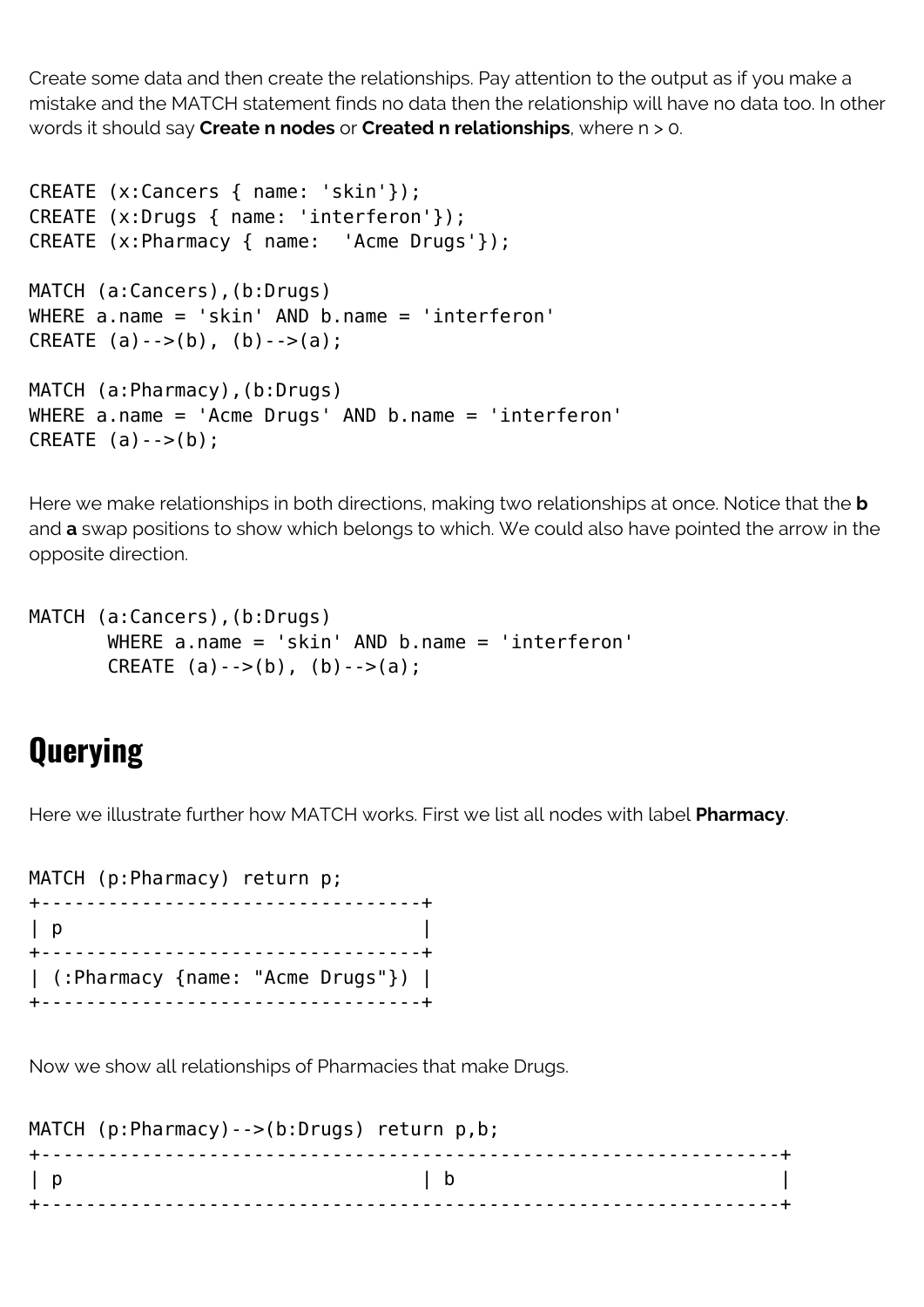Create some data and then create the relationships. Pay attention to the output as if you make a mistake and the MATCH statement finds no data then the relationship will have no data too. In other words it should say **Create n nodes** or **Created n relationships**, where n > 0.

```
CREATE (x:Cancers { name: 'skin'});
CREATE (x:Drugs { name: 'interferon'});
CREATE (x:Pharmacy { name: 'Acme Drugs'});
MATCH (a:Cancers),(b:Drugs)
WHERE a.name = 'skin' AND b.name = 'interferon'
CREATE (a)-->(b), (b)-->(a);
MATCH (a:Pharmacy),(b:Drugs)
WHERE a.name = 'Acme Drugs' AND b.name = 'interferon'
CREATE (a) --(b);
```
Here we make relationships in both directions, making two relationships at once. Notice that the **b** and **a** swap positions to show which belongs to which. We could also have pointed the arrow in the opposite direction.

```
MATCH (a:Cancers),(b:Drugs)
        WHERE a.name = 'skin' AND b.name = 'interferon'
       CREATE (a)-->(b), (b)-->(a);
```
## **Querying**

Here we illustrate further how MATCH works. First we list all nodes with label **Pharmacy**.

MATCH (p:Pharmacy) return p; +----------------------------------+  $| p |$ +----------------------------------+ | (:Pharmacy {name: "Acme Drugs"}) | +----------------------------------+

Now we show all relationships of Pharmacies that make Drugs.

|   | MATCH (p:Pharmacy) --> (b:Drugs) return p, b; |                               |  |  |
|---|-----------------------------------------------|-------------------------------|--|--|
|   |                                               |                               |  |  |
| p |                                               | $\overline{a}$ $\overline{b}$ |  |  |
|   |                                               |                               |  |  |